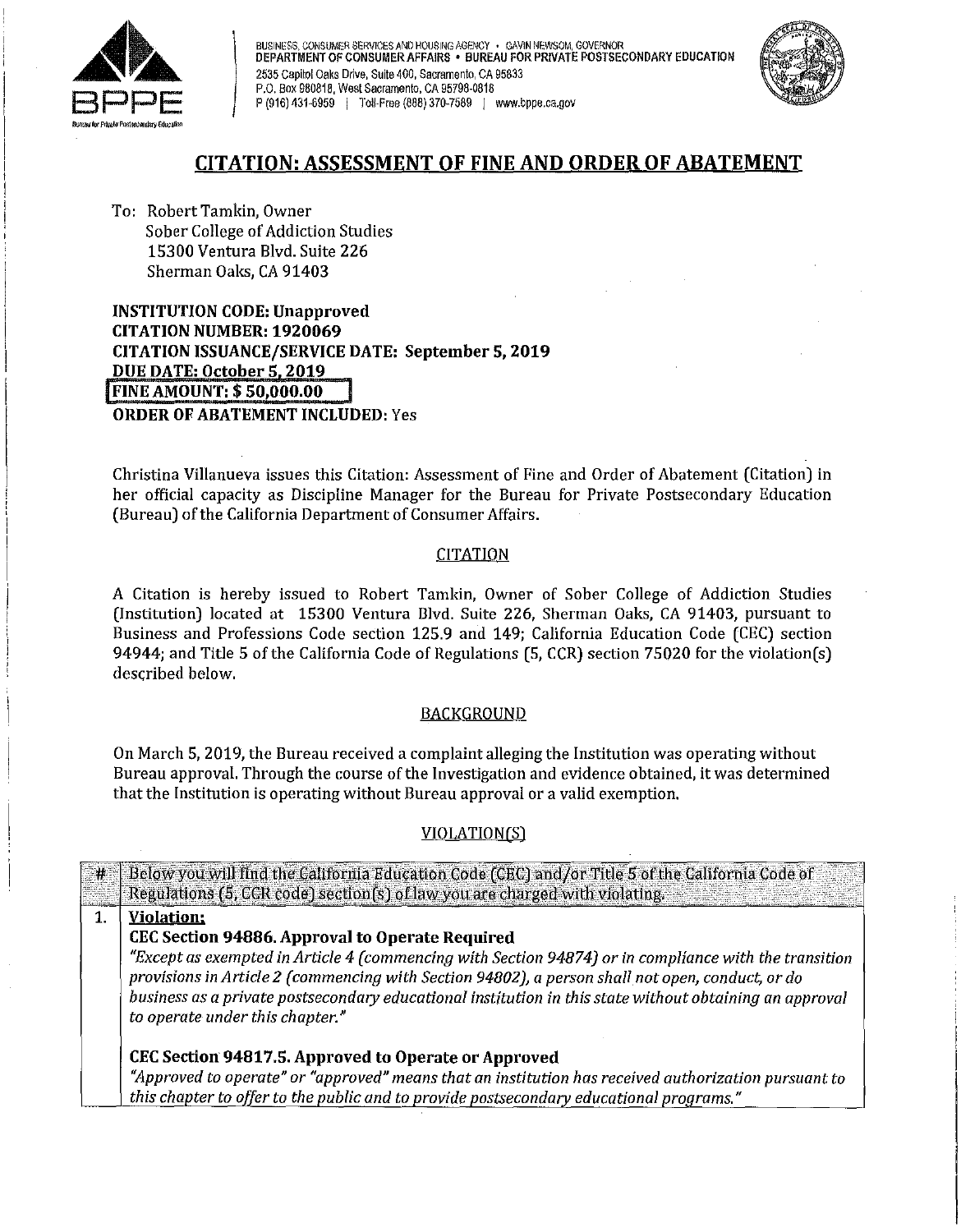

BUSINESS, CONSUMER SERVICES AND HOUSING AGENCY · GAVIN NEWSOM, GOVERNOR DEPARTMENT OF CONSUMER AFFAIRS • BUREAU FOR PRIVATE POSTSECONDARY EDUCATION BUSINESS, CONSUMER SERVICES AND HOUSING AGENCY · GAVINED PEPARTMENT OF CONSUMER AFFAIRS · BUREAU FO<br>2535 Capitol Oaks Drive, Suite 400, Sacramento, CA 95833<br>P.O. Box 980818, West Sacramento, CA 95798-0818 P.O. Box 980818, West Sacramento, CA 95798-0818<br>P (916) 431-6959 I Toll-Free (888) 370-7589 I <www.bppe.ca.gov>



# **CITATION: ASSESSMENT OF FINE AND ORDER OF ABATEMENT**

To: Robert Tamkin, Owner Sober College of Addiction Studies 15300 Ventura Blvd. Suite 226 Sherman Oaks, CA 91403

**INSTITUTION CODE: Unapproved CITATION NUMBER: 1920069 CITATION ISSUANCE/SERVICE DATE: September 5, 2019 DUE DATE: October 51 2019** i**FINE AMOUNT:** \$ **[50,000.00](https://50,000.00) ORDER OF ABATEMENT INCLUDED:** Yes

Christina Villanueva issues this Citation: Assessment of Fine and Order of Abatement (Citation) in her official capacity as Discipline Manager for the Bureau for Private Postsecondary Education (Bureau) of the California Department of Consumer Affairs.

## CITATION

A Citation is hereby issued to Robert Tamkin, Owner of Sober College of Addiction Studies (Institution) located at 15300 Ventura 13lvd. Suite 226, Sherman Oaks, CA 91403, pursuant to Business and Professions Code section 125.9 and 149; California Education Code (CEC) section 94944; and Title 5 of the California Code of Regulations (5, CCR) section 75020 for the violation(s) described below.

### **BACKGROUND**

On March 5, 2019, the Bureau received a complaint alleging the Institution was operating without Bureau approval. Through the course of the Investigation and evidence obtained, it was determined that the Institution is operating without Bureau approval or a valid exemption,

# VIOLATION(S)

|                | # Below you will find the California Education Code (CEC) and/or Title 5 of the California Code of<br>Regulations (5, CCR code) section(s) of law you are charged with violating.                                                                                                                                                                       |
|----------------|---------------------------------------------------------------------------------------------------------------------------------------------------------------------------------------------------------------------------------------------------------------------------------------------------------------------------------------------------------|
| $\mathbf{1}$ . | <b>Violation</b> ;                                                                                                                                                                                                                                                                                                                                      |
|                | CEC Section 94886. Approval to Operate Required                                                                                                                                                                                                                                                                                                         |
|                | "Except as exempted in Article 4 (commencing with Section 94874) or in compliance with the transition<br>provisions in Article 2 (commencing with Section 94802), a person shall not open, conduct, or do<br>business as a private postsecondary educational institution in this state without obtaining an approval<br>to operate under this chapter." |
|                | CEC Section 94817.5. Approved to Operate or Approved                                                                                                                                                                                                                                                                                                    |
|                | "Approved to operate" or "approved" means that an institution has received authorization pursuant to                                                                                                                                                                                                                                                    |
|                | this chapter to offer to the public and to provide postsecondary educational programs."                                                                                                                                                                                                                                                                 |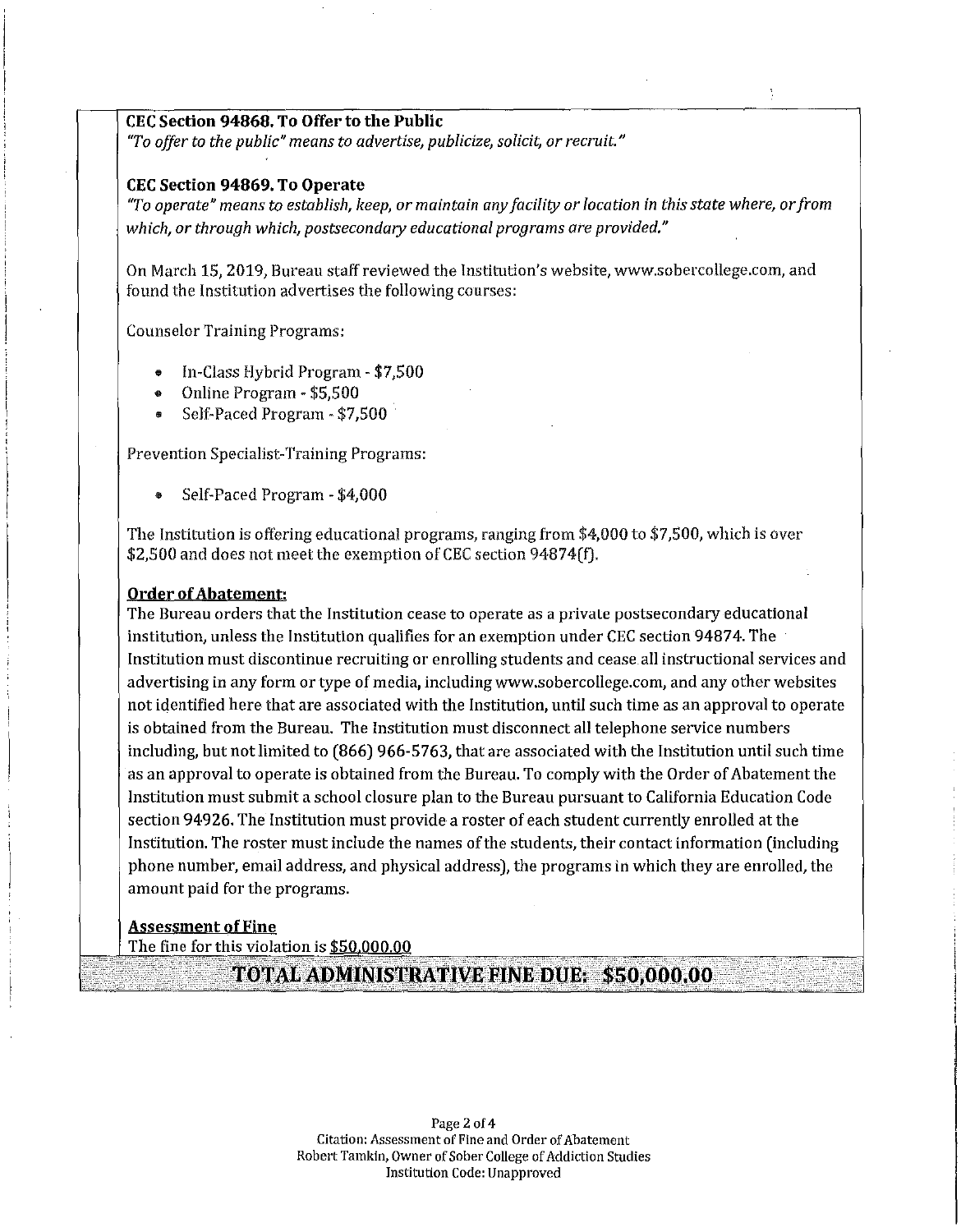#### **CEC Section 94868. To Offer to the Public**

*"To offer to the public" means to advertise, publicize, solicit, or recruit."* 

#### **CEC Section 94869. To Operate**

*"To operate" means to establish, keep, or maintain any facility or location in this state where, orfrom which, or through which, postsecondary educational programs are provided."* 

On March 15, 2019, Bureau staff reviewed the Institution's website,<www.sobercollege.com>, and found the Institution advertises the following courses:

Counselor Training Programs:

- In-Class Hybrid Program \$7,500
- Online Program \$5,500
- Selt~Paced Program \$7,500 ·

Prevention Specialist-Training Programs:

• Self-Paced Program - \$4,000

The Institution is offering educational programs, ranging from \$4,000 to \$7,500, which is over \$2,500 and does not meet the exemption of CEC section 94874(f).

#### **Order of Abatement:**

The Bureau orders that the Institution cease to operate as a privale postsecondary educational institution, unless the Institution qualifies for an exemption under CEC section 94874. The Institution must discontinue recruiting or enrolling students and cease all instructional services and advertising in any form or type of media, including<www.sobercollege.com>, and any other websites not identified here that are associated with the Institution, until such time as an approval to operate is obtained from the Bureau. The Institution must disconnect all telephone service numbers including, but not limited to (866) 966-5763, that are associated with the Institution until such time as an approval to operate is obtained from the Bureau. To comply with the Order of Abatement the Institution must submit a school closure plan to the Bureau pursuant to California Education Code section 94926. The Institution must provide a roster of each student currently enrolled at the Institution. The roster must include the names of the students, their contact information (including phone number, email address, and physical address), the programs in which they are enrolled, the amount paid for the programs.

### **Assessment of Fine**

The fine for this violation is \$[50,000.00](https://50,000.00) 

**i~~»IJi1~ijl~~fX!®iglNiiJ~XJ~tI1\$'s'.q{g90iQwit';)i'····**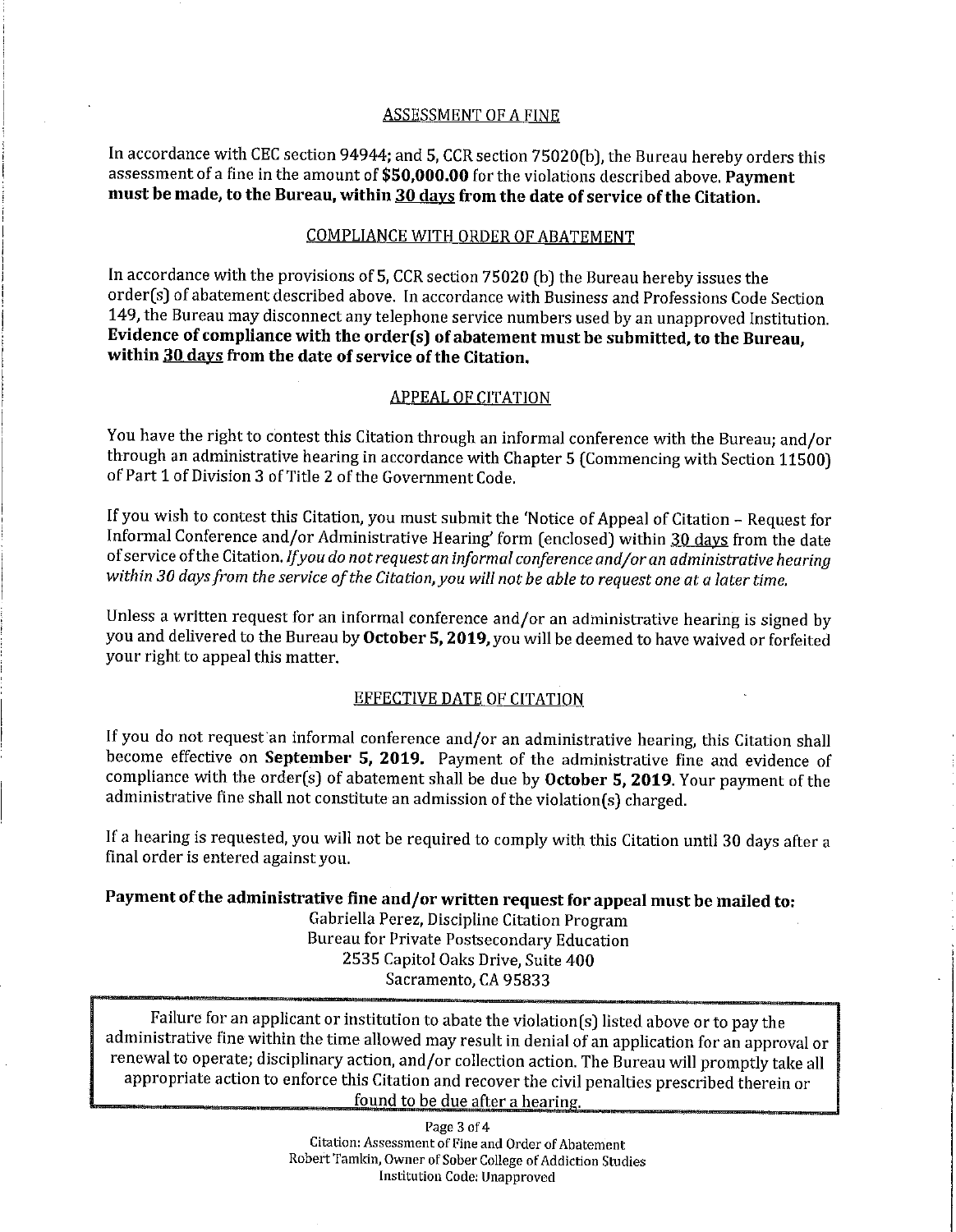### ASSESSMENT OF A FINE

In accordance with CEC section 94944; and 5, CCR section 75020(b), the Bureau hereby orders this assessment of a fine in the amount of **\$[50,000.00](https://50,000.00)** for the violations described above. **Payment must be made, to the Bureau, within 30 days from the date of service ofthe Citation.** 

### COMPLIANCE WITH ORDER OF ABATEMENT

In accordance with the provisions of 5, CCR section 75020 (b) the Bureau hereby issues the order(s) of abatement described above. In accordance with Business and Professions Code Section 149, the Bureau may disconnect any telephone service numbers used by an unapproved Institution. Evidence of compliance with the order(s) of abatement must be submitted, to the Bureau, **within 30 days from the date of service of the Citation.** 

### APPEAL OF CITATION

You have the right to contest this Citation through an informal conference with the Bureau; and/or through an administrative hearing in accordance with Chapter 5 (Commencing with Section 11500) of Part 1 of Division 3 of Title 2 of the Government Code,

If you wish to contest this Citation, you must submit the 'Notice of Appeal of Citation - Request for Informal Conference and/or Administrative Hearing' form (enclosed) within 30 days from the date ofservice ofthe Citation. *Ifyou do not request an informal conference and/or an administrative hearing*  within 30 days from the service of the Citation, you will not be able to request one at a later time.

Unless a written request for an informal conference and/or an administrative hearing is signed by you and delivered to the Bureau by **October 5, 2019,you** will be deemed to have waived or forfeited your right to appeal this matter.

### EFFECTIVE DATE OF CITATION

If you do not request an informal conference and/or an administrative hearing, this Citation shall become effective on **September 5, 2019.** Payment of the administrative fine and evidence of compliance with the order(s) of abatement shall be due by **October 5, 2019.** Your payment of the administrative fine shall not constitute an admission of the violation(s) charged.

If a hearing is requested, you will not be required to comply with this Citation until 30 days after a final order is entered against you.

## Payment of the administrative fine and/or written request for appeal must be mailed to:

Gabriella Perez, Discipline Citation Program Bureau for Private Postsecondary Education 2535 Capitol Oaks Drive, Suite 400 Sacramento, CA 95833

Failure for an applicant or institution to abate the violation(s) listed above or to pay the administrative fine within the time allowed may result in denial of an application for an approval or renewal to operate; disciplinary action, and/or collection action. The Bureau will promptly take all appropriate action to enforce this Citation and recover the civil penalties prescribed therein or found to be due after a hearing.